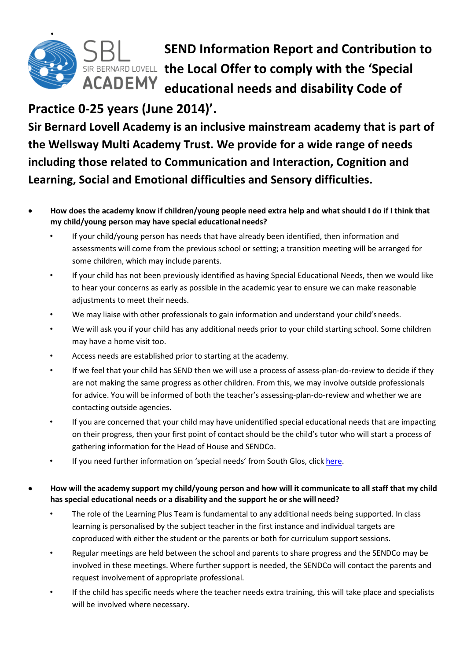

**SEND Information Report and Contribution to SIR BERNARD LOVELL the Local Offer to comply with the 'Special educational needs and disability Code of**

# **Practice 0-25 years (June 2014)'.**

**Sir Bernard Lovell Academy is an inclusive mainstream academy that is part of the Wellsway Multi Academy Trust. We provide for a wide range of needs including those related to Communication and Interaction, Cognition and Learning, Social and Emotional difficulties and Sensory difficulties.**

- **How does the academy know if children/young people need extra help and what should I do if I think that my child/young person may have special educational needs?**
	- If your child/young person has needs that have already been identified, then information and assessments will come from the previous school or setting; a transition meeting will be arranged for some children, which may include parents.
	- If your child has not been previously identified as having Special Educational Needs, then we would like to hear your concerns as early as possible in the academic year to ensure we can make reasonable adjustments to meet their needs.
	- We may liaise with other professionals to gain information and understand your child's needs.
	- We will ask you if your child has any additional needs prior to your child starting school. Some children may have a home visit too.
	- Access needs are established prior to starting at the academy.
	- If we feel that your child has SEND then we will use a process of assess-plan-do-review to decide if they are not making the same progress as other children. From this, we may involve outside professionals for advice. You will be informed of both the teacher's assessing-plan-do-review and whether we are contacting outside agencies.
	- If you are concerned that your child may have unidentified special educational needs that are impacting on their progress, then your first point of contact should be the child's tutor who will start a process of gathering information for the Head of House and SENDCo.
	- If you need further information on 'special needs' from South Glos, click [here](https://find-information-for-adults-children-families.southglos.gov.uk/kb5/southglos/directory/home.page)[.](http://www.southglos.gov.uk/health-and-social-care/care-and-support-children-families/local-offer/)
- **How will the academy support my child/young person and how will it communicate to all staff that my child has special educational needs or a disability and the support he or she will need?**
	- The role of the Learning Plus Team is fundamental to any additional needs being supported. In class learning is personalised by the subject teacher in the first instance and individual targets are coproduced with either the student or the parents or both for curriculum support sessions.
	- Regular meetings are held between the school and parents to share progress and the SENDCo may be involved in these meetings. Where further support is needed, the SENDCo will contact the parents and request involvement of appropriate professional.
	- If the child has specific needs where the teacher needs extra training, this will take place and specialists will be involved where necessary.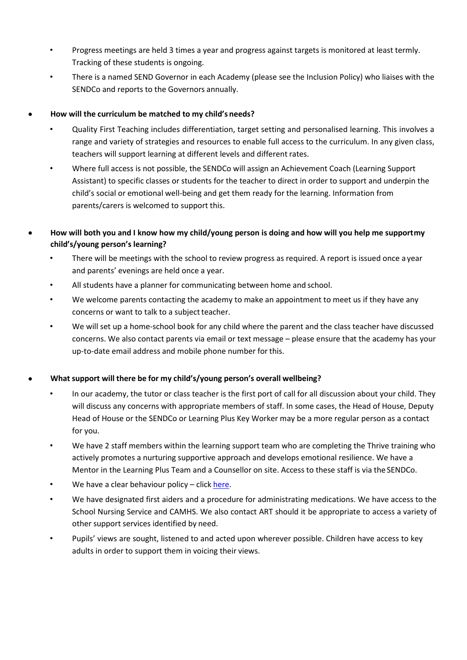- Progress meetings are held 3 times a year and progress against targets is monitored at least termly. Tracking of these students is ongoing.
- There is a named SEND Governor in each Academy (please see the Inclusion Policy) who liaises with the SENDCo and reports to the Governors annually.
- **How will the curriculum be matched to my child's needs?**
	- Quality First Teaching includes differentiation, target setting and personalised learning. This involves a range and variety of strategies and resources to enable full access to the curriculum. In any given class, teachers will support learning at different levels and different rates.
	- Where full access is not possible, the SENDCo will assign an Achievement Coach (Learning Support Assistant) to specific classes or students for the teacher to direct in order to support and underpin the child's social or emotional well-being and get them ready for the learning. Information from parents/carers is welcomed to support this.
- **How will both you and I know how my child/young person is doing and how will you help me supportmy child's/young person's learning?**
	- There will be meetings with the school to review progress as required. A report is issued once a year and parents' evenings are held once a year.
	- All students have a planner for communicating between home and school.
	- We welcome parents contacting the academy to make an appointment to meet us if they have any concerns or want to talk to a subject teacher.
	- We will set up a home-school book for any child where the parent and the class teacher have discussed concerns. We also contact parents via email or text message – please ensure that the academy has your up-to-date email address and mobile phone number for this.
- **What support will there be for my child's/young person's overall wellbeing?**
	- In our academy, the tutor or class teacher is the first port of call for all discussion about your child. They will discuss any concerns with appropriate members of staff. In some cases, the Head of House, Deputy Head of House or the SENDCo or Learning Plus Key Worker may be a more regular person as a contact for you.
	- We have 2 staff members within the learning support team who are completing the Thrive training who actively promotes a nurturing supportive approach and develops emotional resilience. We have a Mentor in the Learning Plus Team and a Counsellor on site. Access to these staff is via the SENDCo.
	- We have a clear behaviour policy  $-$  click [here.](http://www.sbllearning.org.uk/useful-information/#policies)
	- We have designated first aiders and a procedure for administrating medications. We have access to the School Nursing Service and CAMHS. We also contact ART should it be appropriate to access a variety of other support services identified by need.
	- Pupils' views are sought, listened to and acted upon wherever possible. Children have access to key adults in order to support them in voicing their views.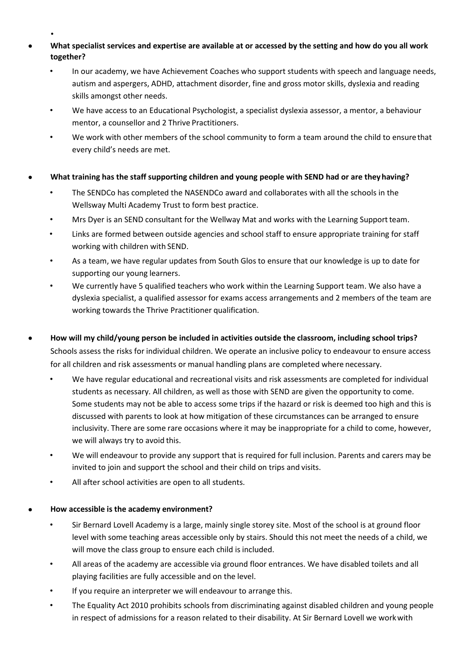- • **What specialist services and expertise are available at or accessed by the setting and how do you all work together?**
	- In our academy, we have Achievement Coaches who support students with speech and language needs, autism and aspergers, ADHD, attachment disorder, fine and gross motor skills, dyslexia and reading skills amongst other needs.
	- We have access to an Educational Psychologist, a specialist dyslexia assessor, a mentor, a behaviour mentor, a counsellor and 2 Thrive Practitioners.
	- We work with other members of the school community to form a team around the child to ensurethat every child's needs are met.
- **What training has the staff supporting children and young people with SEND had or are theyhaving?**
	- The SENDCo has completed the NASENDCo award and collaborates with all the schools in the Wellsway Multi Academy Trust to form best practice.
	- Mrs Dyer is an SEND consultant for the Wellway Mat and works with the Learning Support team.
	- Links are formed between outside agencies and school staff to ensure appropriate training for staff working with children with SEND.
	- As a team, we have regular updates from South Glos to ensure that our knowledge is up to date for supporting our young learners.
	- We currently have 5 qualified teachers who work within the Learning Support team. We also have a dyslexia specialist, a qualified assessor for exams access arrangements and 2 members of the team are working towards the Thrive Practitioner qualification.
- **How will my child/young person be included in activities outside the classroom, including school trips?**  Schools assess the risks for individual children. We operate an inclusive policy to endeavour to ensure access for all children and risk assessments or manual handling plans are completed where necessary.
	- We have regular educational and recreational visits and risk assessments are completed for individual students as necessary. All children, as well as those with SEND are given the opportunity to come. Some students may not be able to access some trips if the hazard or risk is deemed too high and this is discussed with parents to look at how mitigation of these circumstances can be arranged to ensure inclusivity. There are some rare occasions where it may be inappropriate for a child to come, however, we will always try to avoid this.
	- We will endeavour to provide any support that is required for full inclusion. Parents and carers may be invited to join and support the school and their child on trips and visits.
	- All after school activities are open to all students.

# • **How accessible is the academy environment?**

- Sir Bernard Lovell Academy is a large, mainly single storey site. Most of the school is at ground floor level with some teaching areas accessible only by stairs. Should this not meet the needs of a child, we will move the class group to ensure each child is included.
- All areas of the academy are accessible via ground floor entrances. We have disabled toilets and all playing facilities are fully accessible and on the level.
- If you require an interpreter we will endeavour to arrange this.
- The Equality Act 2010 prohibits schools from discriminating against disabled children and young people in respect of admissions for a reason related to their disability. At Sir Bernard Lovell we workwith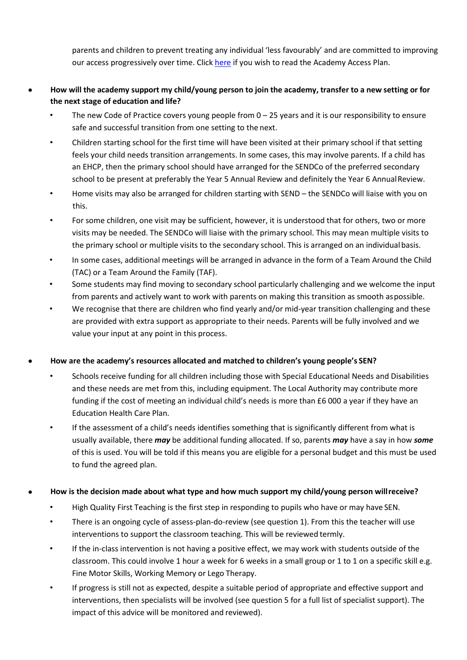parents and children to prevent treating any individual 'less favourably' and are committed to improving our access progressively over time. Click [here](http://www.sbllearning.org.uk/assets/uploads/files/Policies/access-action-plan-2017.pdf) if you wish to read the Academy Access Plan.

- How will the academy support my child/young person to join the academy, transfer to a new setting or for **the next stage of education and life?**
	- The new Code of Practice covers young people from  $0 25$  years and it is our responsibility to ensure safe and successful transition from one setting to the next.
	- Children starting school for the first time will have been visited at their primary school if that setting feels your child needs transition arrangements. In some cases, this may involve parents. If a child has an EHCP, then the primary school should have arranged for the SENDCo of the preferred secondary school to be present at preferably the Year 5 Annual Review and definitely the Year 6 AnnualReview.
	- Home visits may also be arranged for children starting with SEND the SENDCo will liaise with you on this.
	- For some children, one visit may be sufficient, however, it is understood that for others, two or more visits may be needed. The SENDCo will liaise with the primary school. This may mean multiple visits to the primary school or multiple visits to the secondary school. This is arranged on an individual basis.
	- In some cases, additional meetings will be arranged in advance in the form of a Team Around the Child (TAC) or a Team Around the Family (TAF).
	- Some students may find moving to secondary school particularly challenging and we welcome the input from parents and actively want to work with parents on making this transition as smooth aspossible.
	- We recognise that there are children who find yearly and/or mid-year transition challenging and these are provided with extra support as appropriate to their needs. Parents will be fully involved and we value your input at any point in this process.

## • **How are the academy's resources allocated and matched to children's young people's SEN?**

- Schools receive funding for all children including those with Special Educational Needs and Disabilities and these needs are met from this, including equipment. The Local Authority may contribute more funding if the cost of meeting an individual child's needs is more than £6 000 a year if they have an Education Health Care Plan.
- If the assessment of a child's needs identifies something that is significantly different from what is usually available, there *may* be additional funding allocated. If so, parents *may* have a say in how *some*  of this is used. You will be told if this means you are eligible for a personal budget and this must be used to fund the agreed plan.

## • **How is the decision made about what type and how much support my child/young person willreceive?**

- High Quality First Teaching is the first step in responding to pupils who have or may have SEN.
- There is an ongoing cycle of assess-plan-do-review (see question 1). From this the teacher will use interventions to support the classroom teaching. This will be reviewed termly.
- If the in-class intervention is not having a positive effect, we may work with students outside of the classroom. This could involve 1 hour a week for 6 weeks in a small group or 1 to 1 on a specific skill e.g. Fine Motor Skills, Working Memory or Lego Therapy.
- If progress is still not as expected, despite a suitable period of appropriate and effective support and interventions, then specialists will be involved (see question 5 for a full list of specialist support). The impact of this advice will be monitored and reviewed).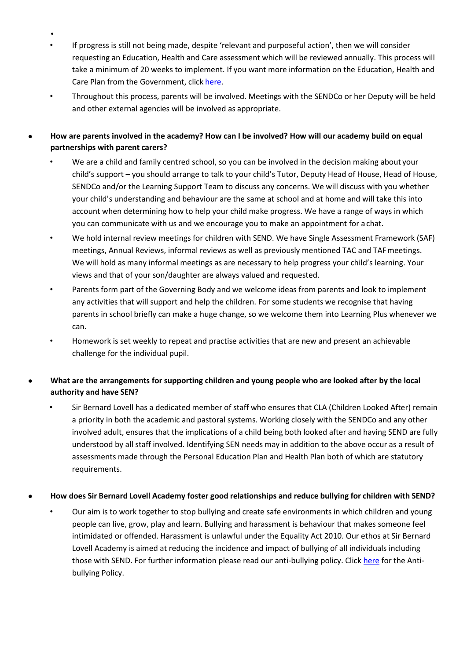- • If progress is still not being made, despite 'relevant and purposeful action', then we will consider requesting an Education, Health and Care assessment which will be reviewed annually. This process will take a minimum of 20 weeks to implement. If you want more information on the Education, Health and Care Plan from the Government, click [here.](https://www.gov.uk/children-with-special-educational-needs/extra-SEN-help)
- Throughout this process, parents will be involved. Meetings with the SENDCo or her Deputy will be held and other external agencies will be involved as appropriate.
- **How are parents involved in the academy? How can I be involved? How will our academy build on equal partnerships with parent carers?**
	- We are a child and family centred school, so you can be involved in the decision making about your child's support – you should arrange to talk to your child's Tutor, Deputy Head of House, Head of House, SENDCo and/or the Learning Support Team to discuss any concerns. We will discuss with you whether your child's understanding and behaviour are the same at school and at home and will take this into account when determining how to help your child make progress. We have a range of ways in which you can communicate with us and we encourage you to make an appointment for a chat.
	- We hold internal review meetings for children with SEND. We have Single Assessment Framework (SAF) meetings, Annual Reviews, informal reviews as well as previously mentioned TAC and TAFmeetings. We will hold as many informal meetings as are necessary to help progress your child's learning. Your views and that of your son/daughter are always valued and requested.
	- Parents form part of the Governing Body and we welcome ideas from parents and look to implement any activities that will support and help the children. For some students we recognise that having parents in school briefly can make a huge change, so we welcome them into Learning Plus whenever we can.
	- Homework is set weekly to repeat and practise activities that are new and present an achievable challenge for the individual pupil.

# • **What are the arrangements for supporting children and young people who are looked after by the local authority and have SEN?**

• Sir Bernard Lovell has a dedicated member of staff who ensures that CLA (Children Looked After) remain a priority in both the academic and pastoral systems. Working closely with the SENDCo and any other involved adult, ensures that the implications of a child being both looked after and having SEND are fully understood by all staff involved. Identifying SEN needs may in addition to the above occur as a result of assessments made through the Personal Education Plan and Health Plan both of which are statutory requirements.

## • **How does Sir Bernard Lovell Academy foster good relationships and reduce bullying for children with SEND?**

• Our aim is to work together to stop bullying and create safe environments in which children and young people can live, grow, play and learn. Bullying and harassment is behaviour that makes someone feel intimidated or offended. Harassment is unlawful under the Equality Act 2010. Our ethos at Sir Bernard Lovell Academy is aimed at reducing the incidence and impact of bullying of all individuals including those with SEND. For further information please read our anti-bullying policy. Click [here](http://www.sbllearning.org.uk/useful-information/#policies) for the Antibullying Policy.